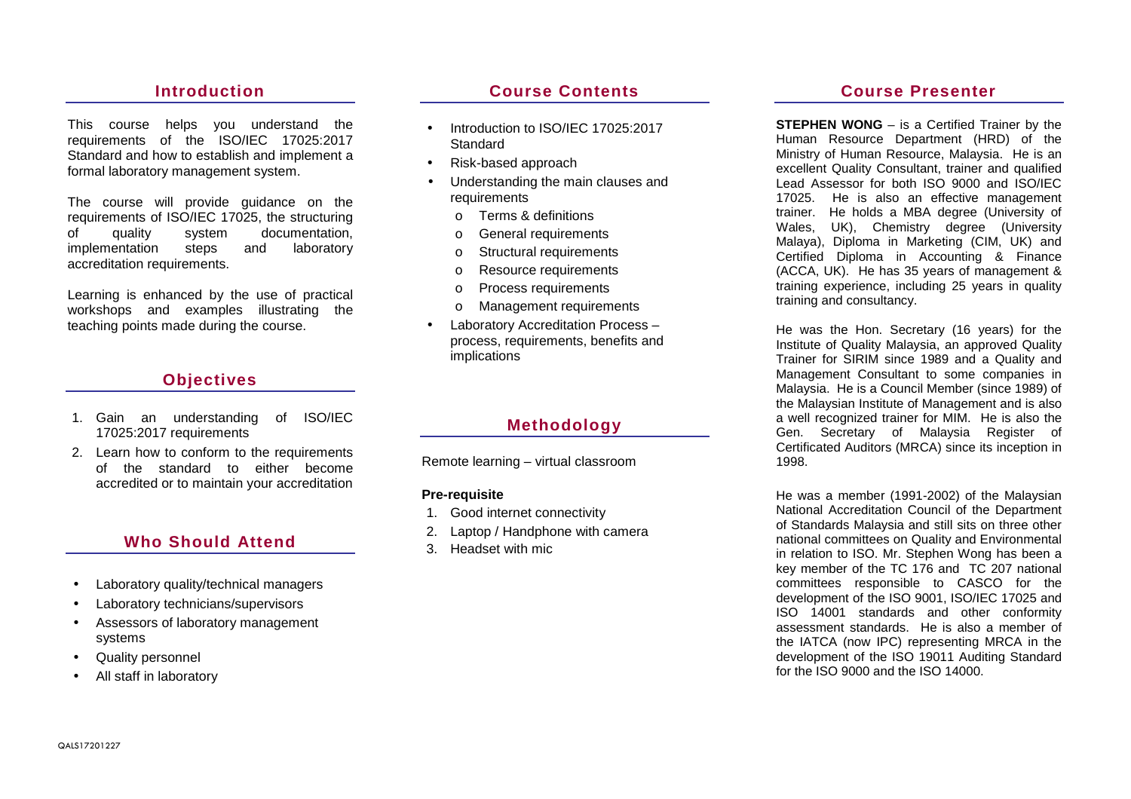## **Introduction**

This course helps you understand the requirements of the ISO/IEC 17025:2017 Standard and how to establish and implement a formal laboratory management system.

The course will provide guidance on the requirements of ISO/IEC 17025, the structuring of quality system documentation, laboratory implementation steps and accreditation requirements.

Learning is enhanced by the use of practical workshops and examples illustrating the teaching points made during the course.

# **Objectives**

- 1. Gain an understanding of ISO/IEC 17025:2017 requirements
- 2. Learn how to conform to the requirements of the standard to either become accredited or to maintain your accreditation

# **Who Should Attend**

- Laboratory quality/technical managers
- Laboratory technicians/supervisors
- Assessors of laboratory management systems
- Quality personnel
- All staff in laboratory

## **Course Contents**

- Introduction to ISO/IEC 17025:2017 **Standard**
- Risk-based approach
- Understanding the main clauses and requirements
	- o Terms & definitions
	- o General requirements
	- o Structural requirements
	- o Resource requirements
	- o Process requirements
	- o Management requirements
- Laboratory Accreditation Process process, requirements, benefits and implications

## **Methodology**

Remote learning – virtual classroom

#### **Pre-requisite**

- 1. Good internet connectivity
- 2. Laptop / Handphone with camera
- 3. Headset with mic

### **Course Presenter**

**STEPHEN WONG** – is a Certified Trainer by the Human Resource Department (HRD) of the Ministry of Human Resource, Malaysia. He is an excellent Quality Consultant, trainer and qualified Lead Assessor for both ISO 9000 and ISO/IEC 17025. He is also an effective management trainer. He holds a MBA degree (University of Wales, UK), Chemistry degree (University Malaya), Diploma in Marketing (CIM, UK) and Certified Diploma in Accounting & Finance (ACCA, UK). He has 35 years of management & training experience, including 25 years in quality training and consultancy.

He was the Hon. Secretary (16 years) for the Institute of Quality Malaysia, an approved Quality Trainer for SIRIM since 1989 and a Quality and Management Consultant to some companies in Malaysia. He is a Council Member (since 1989) of the Malaysian Institute of Management and is also a well recognized trainer for MIM. He is also the Gen. Secretary of Malaysia Register of Certificated Auditors (MRCA) since its inception in1998.

He was a member (1991-2002) of the Malaysian National Accreditation Council of the Department of Standards Malaysia and still sits on three other national committees on Quality and Environmental in relation to ISO. Mr. Stephen Wong has been a key member of the TC 176 and TC 207 national committees responsible to CASCO for the development of the ISO 9001, ISO/IEC 17025 and ISO 14001 standards and other conformity assessment standards. He is also a member of the IATCA (now IPC) representing MRCA in the development of the ISO 19011 Auditing Standard for the ISO 9000 and the ISO 14000.